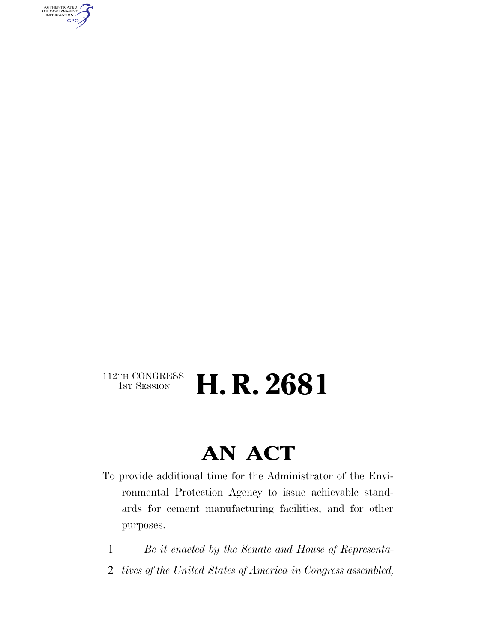AUTHENTICATED<br>U.S. GOVERNMENT<br>INFORMATION **GPO** 

#### $\begin{array}{c} \textbf{112TH CONGRESS} \\ \textbf{1ST SESION} \end{array}$ H. R. 2681

### **AN ACT**

- To provide additional time for the Administrator of the Environmental Protection Agency to issue achievable standards for cement manufacturing facilities, and for other purposes.
	- 1 *Be it enacted by the Senate and House of Representa-*
- 2 *tives of the United States of America in Congress assembled,*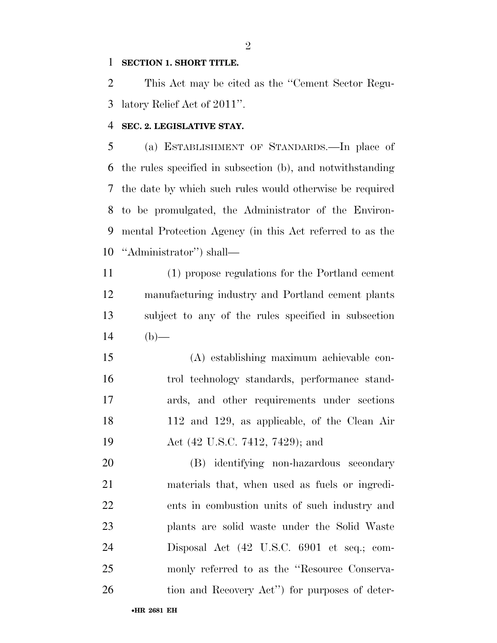#### **SECTION 1. SHORT TITLE.**

 This Act may be cited as the ''Cement Sector Regu-latory Relief Act of 2011''.

#### **SEC. 2. LEGISLATIVE STAY.**

 (a) ESTABLISHMENT OF STANDARDS.—In place of the rules specified in subsection (b), and notwithstanding the date by which such rules would otherwise be required to be promulgated, the Administrator of the Environ- mental Protection Agency (in this Act referred to as the ''Administrator'') shall—

 (1) propose regulations for the Portland cement manufacturing industry and Portland cement plants subject to any of the rules specified in subsection 14 (b)—

 (A) establishing maximum achievable con- trol technology standards, performance stand- ards, and other requirements under sections 112 and 129, as applicable, of the Clean Air 19 Act (42 U.S.C. 7412, 7429); and

 (B) identifying non-hazardous secondary materials that, when used as fuels or ingredi- ents in combustion units of such industry and plants are solid waste under the Solid Waste Disposal Act (42 U.S.C. 6901 et seq.; com-25 monly referred to as the "Resource Conserva-26 tion and Recovery Act'') for purposes of deter-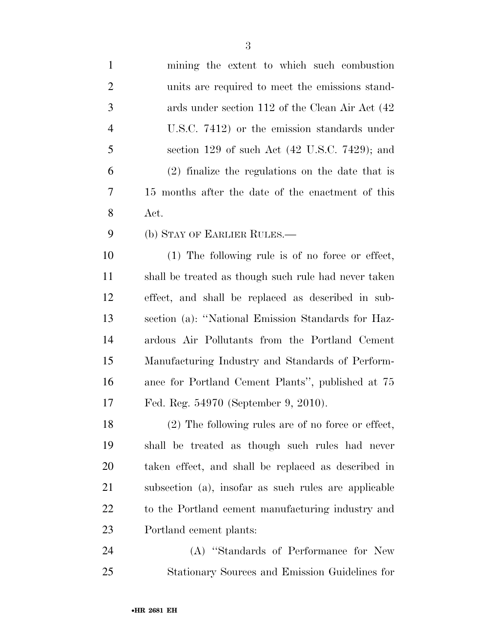| $\mathbf{1}$   | mining the extent to which such combustion                |
|----------------|-----------------------------------------------------------|
| $\overline{2}$ | units are required to meet the emissions stand-           |
| 3              | ards under section 112 of the Clean Air Act (42)          |
| $\overline{4}$ | U.S.C. 7412) or the emission standards under              |
| 5              | section 129 of such Act $(42 \text{ U.S.C. } 7429)$ ; and |
| 6              | (2) finalize the regulations on the date that is          |
| 7              | 15 months after the date of the enactment of this         |
| 8              | Act.                                                      |
| 9              | (b) STAY OF EARLIER RULES.—                               |
| 10             | $(1)$ The following rule is of no force or effect,        |
| <sup>11</sup>  | shall be treated as though such rule had never taken      |
| 12             | effect, and shall be replaced as described in sub-        |
| 13             | section (a): "National Emission Standards for Haz-        |
| 14             | ardous Air Pollutants from the Portland Cement            |
| 15             | Manufacturing Industry and Standards of Perform-          |
| 16             | ance for Portland Cement Plants", published at 75         |
| 17             | Fed. Reg. 54970 (September 9, 2010).                      |
| 18             | $(2)$ The following rules are of no force or effect,      |
| 19             | shall be treated as though such rules had never           |
| 20             | taken effect, and shall be replaced as described in       |
| 21             | subsection (a), insofar as such rules are applicable      |
| 22             | to the Portland cement manufacturing industry and         |
| 23             | Portland cement plants:                                   |
| 24             | (A) "Standards of Performance for New                     |
| 25             | Stationary Sources and Emission Guidelines for            |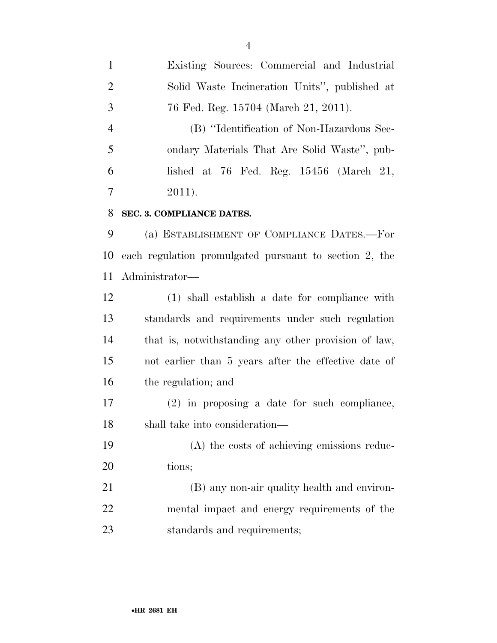Existing Sources: Commercial and Industrial Solid Waste Incineration Units'', published at 76 Fed. Reg. 15704 (March 21, 2011). (B) ''Identification of Non-Hazardous Sec- ondary Materials That Are Solid Waste'', pub- lished at 76 Fed. Reg. 15456 (March 21,  $7 \t2011$ . **SEC. 3. COMPLIANCE DATES.**  (a) ESTABLISHMENT OF COMPLIANCE DATES.—For each regulation promulgated pursuant to section 2, the Administrator— (1) shall establish a date for compliance with standards and requirements under such regulation that is, notwithstanding any other provision of law, not earlier than 5 years after the effective date of the regulation; and (2) in proposing a date for such compliance, shall take into consideration— (A) the costs of achieving emissions reduc- tions; (B) any non-air quality health and environ- mental impact and energy requirements of the standards and requirements;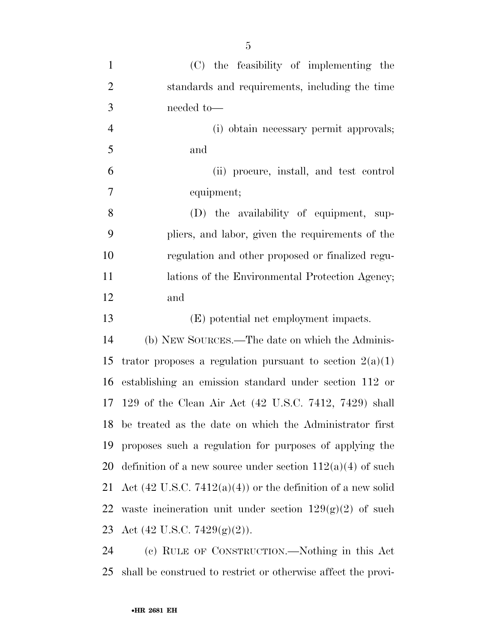| $\mathbf{1}$   | (C) the feasibility of implementing the                                |
|----------------|------------------------------------------------------------------------|
| $\overline{2}$ | standards and requirements, including the time                         |
| 3              | needed to-                                                             |
| $\overline{4}$ | (i) obtain necessary permit approvals;                                 |
| 5              | and                                                                    |
| 6              | (ii) procure, install, and test control                                |
| $\overline{7}$ | equipment;                                                             |
| 8              | (D) the availability of equipment, sup-                                |
| 9              | pliers, and labor, given the requirements of the                       |
| 10             | regulation and other proposed or finalized regu-                       |
| 11             | lations of the Environmental Protection Agency;                        |
| 12             | and                                                                    |
| 13             | (E) potential net employment impacts.                                  |
| 14             | (b) NEW SOURCES.—The date on which the Adminis-                        |
| 15             | trator proposes a regulation pursuant to section $2(a)(1)$             |
| 16             | establishing an emission standard under section 112 or                 |
| 17             | 129 of the Clean Air Act (42 U.S.C. 7412, 7429) shall                  |
|                | 18 be treated as the date on which the Administrator first             |
| 19             | proposes such a regulation for purposes of applying the                |
| 20             | definition of a new source under section $112(a)(4)$ of such           |
| 21             | Act $(42 \text{ U.S.C. } 7412(a)(4))$ or the definition of a new solid |
| 22             | waste incineration unit under section $129(g)(2)$ of such              |
|                | 23 Act (42 U.S.C. 7429(g)(2)).                                         |
| $2\pi$         | (a) RULE OF CONSTRUCTION Nothing in this Act                           |

 (c) RULE OF CONSTRUCTION.—Nothing in this Act shall be construed to restrict or otherwise affect the provi-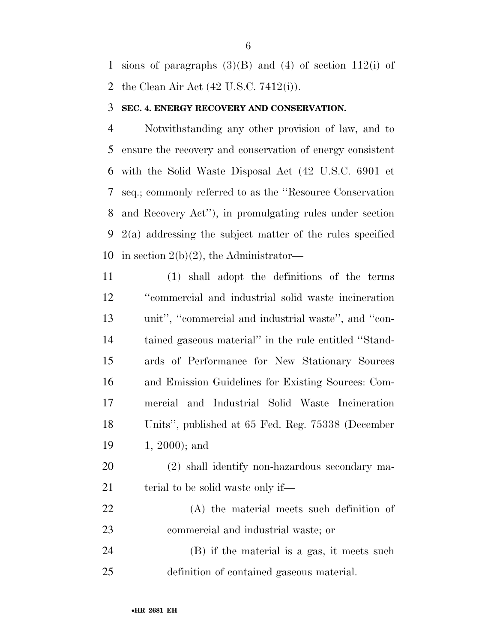1 sions of paragraphs  $(3)(B)$  and  $(4)$  of section 112(i) of the Clean Air Act (42 U.S.C. 7412(i)).

#### **SEC. 4. ENERGY RECOVERY AND CONSERVATION.**

 Notwithstanding any other provision of law, and to ensure the recovery and conservation of energy consistent with the Solid Waste Disposal Act (42 U.S.C. 6901 et seq.; commonly referred to as the ''Resource Conservation and Recovery Act''), in promulgating rules under section 2(a) addressing the subject matter of the rules specified in section 2(b)(2), the Administrator—

- (1) shall adopt the definitions of the terms ''commercial and industrial solid waste incineration unit'', ''commercial and industrial waste'', and ''con- tained gaseous material'' in the rule entitled ''Stand- ards of Performance for New Stationary Sources and Emission Guidelines for Existing Sources: Com- mercial and Industrial Solid Waste Incineration Units'', published at 65 Fed. Reg. 75338 (December 1, 2000); and
- (2) shall identify non-hazardous secondary ma-21 terial to be solid waste only if—
- (A) the material meets such definition of commercial and industrial waste; or (B) if the material is a gas, it meets such definition of contained gaseous material.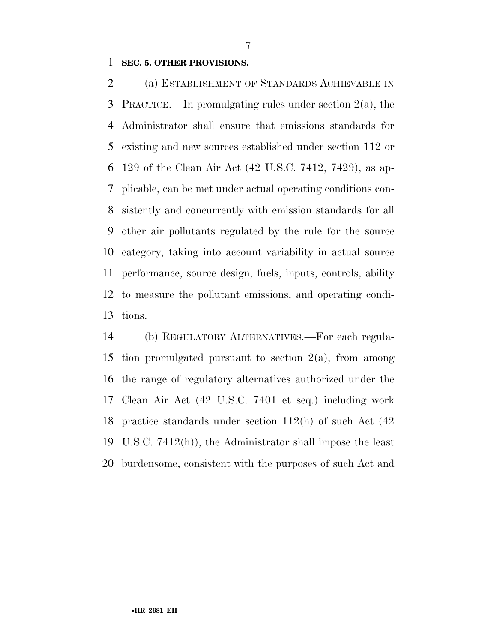#### **SEC. 5. OTHER PROVISIONS.**

 (a) ESTABLISHMENT OF STANDARDS ACHIEVABLE IN PRACTICE.—In promulgating rules under section 2(a), the Administrator shall ensure that emissions standards for existing and new sources established under section 112 or 129 of the Clean Air Act (42 U.S.C. 7412, 7429), as ap- plicable, can be met under actual operating conditions con- sistently and concurrently with emission standards for all other air pollutants regulated by the rule for the source category, taking into account variability in actual source performance, source design, fuels, inputs, controls, ability to measure the pollutant emissions, and operating condi-tions.

 (b) REGULATORY ALTERNATIVES.—For each regula- tion promulgated pursuant to section 2(a), from among the range of regulatory alternatives authorized under the Clean Air Act (42 U.S.C. 7401 et seq.) including work practice standards under section 112(h) of such Act (42 U.S.C. 7412(h)), the Administrator shall impose the least burdensome, consistent with the purposes of such Act and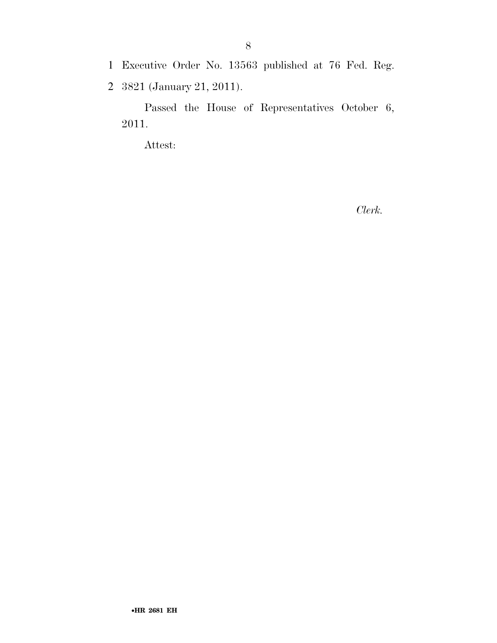- 1 Executive Order No. 13563 published at 76 Fed. Reg.
- 2 3821 (January 21, 2011).

Passed the House of Representatives October 6, 2011.

Attest:

*Clerk.*